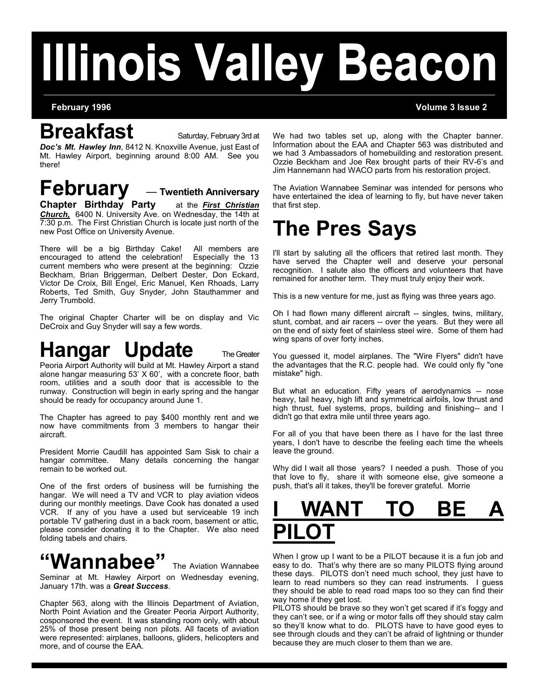# **Illinois Valley Beacon**

#### **Breakfast** Saturday, February 3rd at

*Doc's Mt. Hawley Inn*, 8412 N. Knoxville Avenue, just East of Mt. Hawley Airport, beginning around 8:00 AM. See you there!

## **February** — **Twentieth Anniversary**<br>Chapter Birthday Party at the *First Christian*

**Chapter Birthday Party** *Church,* 6400 N. University Ave. on Wednesday, the 14th at 7:30 p.m. The First Christian Church is locate just north of the new Post Office on University Avenue.

There will be a big Birthday Cake! All members are encouraged to attend the celebration! Especially the 13 current members who were present at the beginning: Ozzie Beckham, Brian Briggerman, Delbert Dester, Don Eckard, Victor De Croix, Bill Engel, Eric Manuel, Ken Rhoads, Larry Roberts, Ted Smith, Guy Snyder, John Stauthammer and Jerry Trumbold.

The original Chapter Charter will be on display and Vic DeCroix and Guy Snyder will say a few words.

## **Hangar Update** The Greater

Peoria Airport Authority will build at Mt. Hawley Airport a stand alone hangar measuring 53' X 60', with a concrete floor, bath room, utilities and a south door that is accessible to the runway. Construction will begin in early spring and the hangar should be ready for occupancy around June 1.

The Chapter has agreed to pay \$400 monthly rent and we now have commitments from 3 members to hangar their aircraft.

President Morrie Caudill has appointed Sam Sisk to chair a hangar committee. Many details concerning the hangar remain to be worked out.

One of the first orders of business will be furnishing the hangar. We will need a TV and VCR to play aviation videos during our monthly meetings. Dave Cook has donated a used VCR. If any of you have a used but serviceable 19 inch portable TV gathering dust in a back room, basement or attic, please consider donating it to the Chapter. We also need folding tabels and chairs.

#### **"Wannabee"** The Aviation Wannabee

Seminar at Mt. Hawley Airport on Wednesday evening, January 17th. was a *Great Success*.

Chapter 563, along with the Illinois Department of Aviation, North Point Aviation and the Greater Peoria Airport Authority, cosponsored the event. It was standing room only, with about 25% of those present being non pilots. All facets of aviation were represented: airplanes, balloons, gliders, helicopters and more, and of course the EAA.

We had two tables set up, along with the Chapter banner. Information about the EAA and Chapter 563 was distributed and we had 3 Ambassadors of homebuilding and restoration present. Ozzie Beckham and Joe Rex brought parts of their RV-6's and Jim Hannemann had WACO parts from his restoration project.

The Aviation Wannabee Seminar was intended for persons who have entertained the idea of learning to fly, but have never taken that first step.

## **The Pres Says**

I'll start by saluting all the officers that retired last month. They have served the Chapter well and deserve your personal recognition. I salute also the officers and volunteers that have remained for another term. They must truly enjoy their work.

This is a new venture for me, just as flying was three years ago.

Oh I had flown many different aircraft -- singles, twins, military, stunt, combat, and air racers -- over the years. But they were all on the end of sixty feet of stainless steel wire. Some of them had wing spans of over forty inches.

You guessed it, model airplanes. The "Wire Flyers" didn't have the advantages that the R.C. people had. We could only fly "one mistake" high.

But what an education. Fifty years of aerodynamics -- nose heavy, tail heavy, high lift and symmetrical airfoils, low thrust and high thrust, fuel systems, props, building and finishing-- and I didn't go that extra mile until three years ago.

For all of you that have been there as I have for the last three years, I don't have to describe the feeling each time the wheels leave the ground.

Why did I wait all those years? I needed a push. Those of you that love to fly, share it with someone else, give someone a push, that's all it takes, they'll be forever grateful. Morrie



When I grow up I want to be a PILOT because it is a fun job and easy to do. That's why there are so many PILOTS flying around these days. PILOTS don't need much school, they just have to learn to read numbers so they can read instruments. I guess they should be able to read road maps too so they can find their way home if they get lost.

PILOTS should be brave so they won't get scared if it's foggy and they can't see, or if a wing or motor falls off they should stay calm so they'll know what to do. PILOTS have to have good eyes to see through clouds and they can't be afraid of lightning or thunder because they are much closer to them than we are.

#### **February 1996 Volume 3 Issue 2**